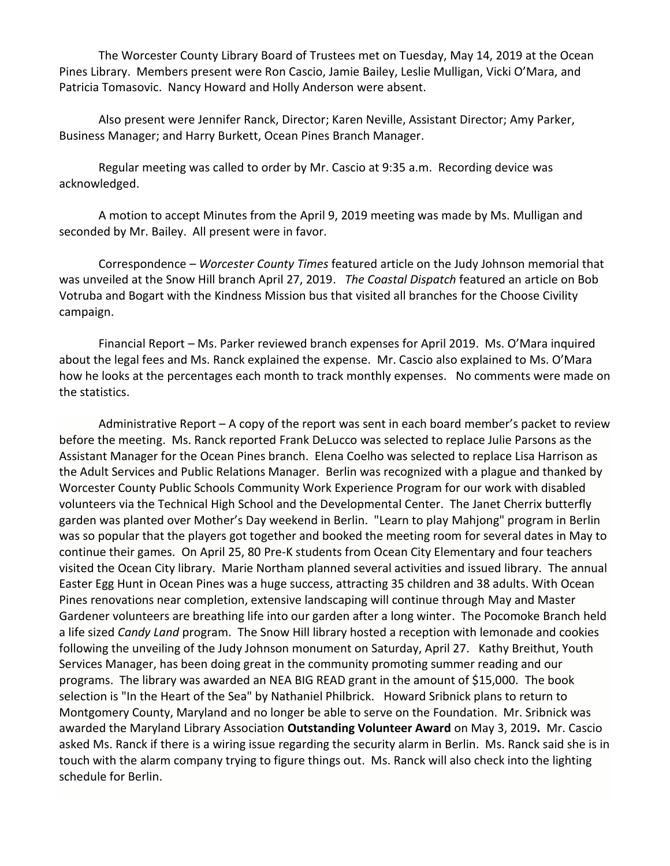The Worcester County Library Board of Trustees met on Tuesday, May 14, 2019 at the Ocean Pines Library. Members present were Ron Cascio, Jamie Bailey, Leslie Mulligan, Vicki O'Mara, and Patricia Tomasovic. Nancy Howard and Holly Anderson were absent.

Also present were Jennifer Ranck, Director; Karen Neville, Assistant Director; Amy Parker, Business Manager; and Harry Burkett, Ocean Pines Branch Manager.

Regular meeting was called to order by Mr. Cascio at 9:35 a.m. Recording device was acknowledged.

A motion to accept Minutes from the April 9, 2019 meeting was made by Ms. Mulligan and seconded by Mr. Bailey. All present were in favor.

Correspondence – *Worcester County Times* featured article on the Judy Johnson memorial that was unveiled at the Snow Hill branch April 27, 2019. *The Coastal Dispatch* featured an article on Bob Votruba and Bogart with the Kindness Mission bus that visited all branches for the Choose Civility campaign.

Financial Report – Ms. Parker reviewed branch expenses for April 2019. Ms. O'Mara inquired about the legal fees and Ms. Ranck explained the expense. Mr. Cascio also explained to Ms. O'Mara how he looks at the percentages each month to track monthly expenses. No comments were made on the statistics.

Administrative Report – A copy of the report was sent in each board member's packet to review before the meeting. Ms. Ranck reported Frank DeLucco was selected to replace Julie Parsons as the Assistant Manager for the Ocean Pines branch. Elena Coelho was selected to replace Lisa Harrison as the Adult Services and Public Relations Manager. Berlin was recognized with a plague and thanked by Worcester County Public Schools Community Work Experience Program for our work with disabled volunteers via the Technical High School and the Developmental Center. The Janet Cherrix butterfly garden was planted over Mother's Day weekend in Berlin. "Learn to play Mahjong" program in Berlin was so popular that the players got together and booked the meeting room for several dates in May to continue their games. On April 25, 80 Pre-K students from Ocean City Elementary and four teachers visited the Ocean City library. Marie Northam planned several activities and issued library. The annual Easter Egg Hunt in Ocean Pines was a huge success, attracting 35 children and 38 adults. With Ocean Pines renovations near completion, extensive landscaping will continue through May and Master Gardener volunteers are breathing life into our garden after a long winter. The Pocomoke Branch held a life sized *Candy Land* program. The Snow Hill library hosted a reception with lemonade and cookies following the unveiling of the Judy Johnson monument on Saturday, April 27. Kathy Breithut, Youth Services Manager, has been doing great in the community promoting summer reading and our programs. The library was awarded an NEA BIG READ grant in the amount of \$15,000. The book selection is "In the Heart of the Sea" by Nathaniel Philbrick. Howard Sribnick plans to return to Montgomery County, Maryland and no longer be able to serve on the Foundation. Mr. Sribnick was awarded the Maryland Library Association **Outstanding Volunteer Award** on May 3, 2019**.** Mr. Cascio asked Ms. Ranck if there is a wiring issue regarding the security alarm in Berlin. Ms. Ranck said she is in touch with the alarm company trying to figure things out. Ms. Ranck will also check into the lighting schedule for Berlin.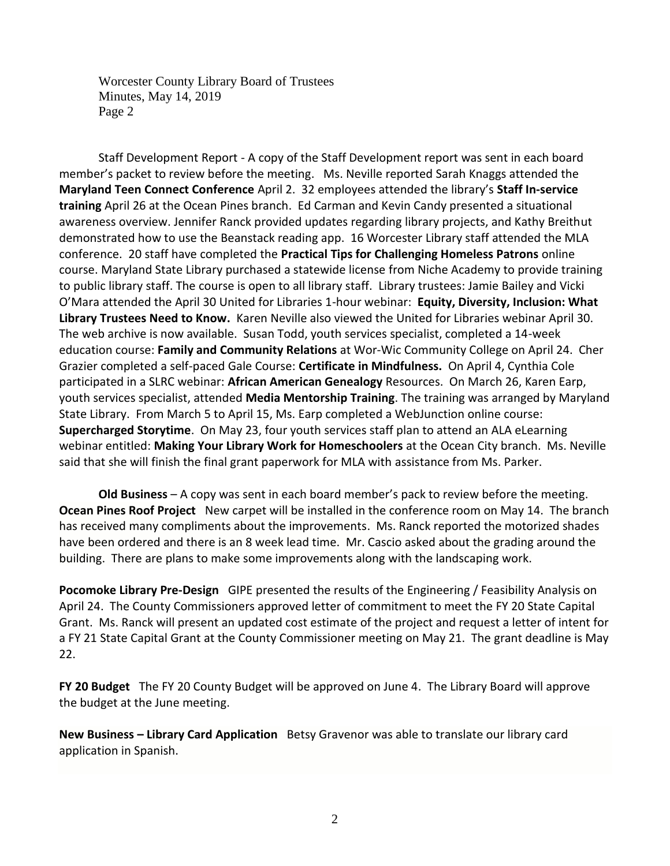Worcester County Library Board of Trustees Minutes, May 14, 2019 Page 2

Staff Development Report - A copy of the Staff Development report was sent in each board member's packet to review before the meeting. Ms. Neville reported Sarah Knaggs attended the **Maryland Teen Connect Conference** April 2. 32 employees attended the library's **Staff In-service training** April 26 at the Ocean Pines branch. Ed Carman and Kevin Candy presented a situational awareness overview. Jennifer Ranck provided updates regarding library projects, and Kathy Breithut demonstrated how to use the Beanstack reading app. 16 Worcester Library staff attended the MLA conference. 20 staff have completed the **Practical Tips for Challenging Homeless Patrons** online course. Maryland State Library purchased a statewide license from Niche Academy to provide training to public library staff. The course is open to all library staff. Library trustees: Jamie Bailey and Vicki O'Mara attended the April 30 United for Libraries 1-hour webinar: **Equity, Diversity, Inclusion: What Library Trustees Need to Know.** Karen Neville also viewed the United for Libraries webinar April 30. The web archive is now available. Susan Todd, youth services specialist, completed a 14-week education course: **Family and Community Relations** at Wor-Wic Community College on April 24. Cher Grazier completed a self-paced Gale Course: **Certificate in Mindfulness.** On April 4, Cynthia Cole participated in a SLRC webinar: **African American Genealogy** Resources. On March 26, Karen Earp, youth services specialist, attended **Media Mentorship Training**. The training was arranged by Maryland State Library. From March 5 to April 15, Ms. Earp completed a WebJunction online course: **Supercharged Storytime**. On May 23, four youth services staff plan to attend an ALA eLearning webinar entitled: **Making Your Library Work for Homeschoolers** at the Ocean City branch. Ms. Neville said that she will finish the final grant paperwork for MLA with assistance from Ms. Parker.

**Old Business** – A copy was sent in each board member's pack to review before the meeting. **Ocean Pines Roof Project** New carpet will be installed in the conference room on May 14. The branch has received many compliments about the improvements. Ms. Ranck reported the motorized shades have been ordered and there is an 8 week lead time. Mr. Cascio asked about the grading around the building. There are plans to make some improvements along with the landscaping work.

**Pocomoke Library Pre-Design** GIPE presented the results of the Engineering / Feasibility Analysis on April 24. The County Commissioners approved letter of commitment to meet the FY 20 State Capital Grant. Ms. Ranck will present an updated cost estimate of the project and request a letter of intent for a FY 21 State Capital Grant at the County Commissioner meeting on May 21. The grant deadline is May 22.

**FY 20 Budget** The FY 20 County Budget will be approved on June 4. The Library Board will approve the budget at the June meeting.

**New Business – Library Card Application** Betsy Gravenor was able to translate our library card application in Spanish.